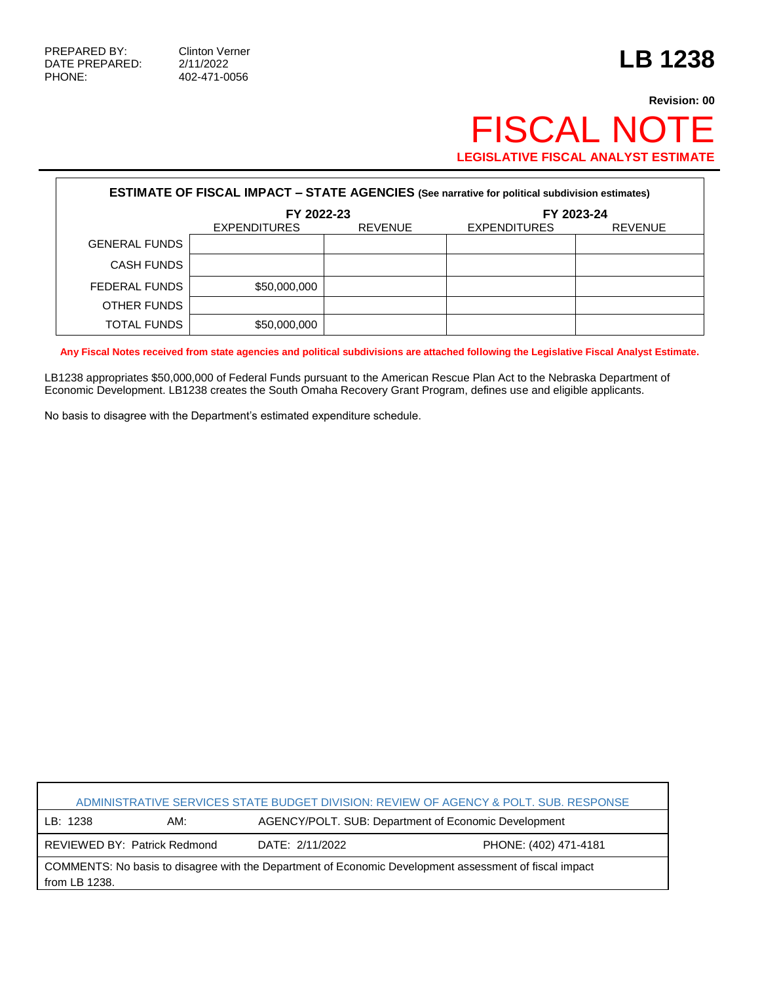PHONE: 402-471-0056

## **Revision: 00** FISCAL NOTE **LEGISLATIVE FISCAL ANALYST ESTIMATE**

| <b>ESTIMATE OF FISCAL IMPACT - STATE AGENCIES (See narrative for political subdivision estimates)</b> |                     |                |                     |                |  |  |
|-------------------------------------------------------------------------------------------------------|---------------------|----------------|---------------------|----------------|--|--|
|                                                                                                       | FY 2022-23          |                | FY 2023-24          |                |  |  |
|                                                                                                       | <b>EXPENDITURES</b> | <b>REVENUE</b> | <b>EXPENDITURES</b> | <b>REVENUE</b> |  |  |
| <b>GENERAL FUNDS</b>                                                                                  |                     |                |                     |                |  |  |
| <b>CASH FUNDS</b>                                                                                     |                     |                |                     |                |  |  |
| FEDERAL FUNDS                                                                                         | \$50,000,000        |                |                     |                |  |  |
| OTHER FUNDS                                                                                           |                     |                |                     |                |  |  |
| <b>TOTAL FUNDS</b>                                                                                    | \$50,000,000        |                |                     |                |  |  |

**Any Fiscal Notes received from state agencies and political subdivisions are attached following the Legislative Fiscal Analyst Estimate.**

LB1238 appropriates \$50,000,000 of Federal Funds pursuant to the American Rescue Plan Act to the Nebraska Department of Economic Development. LB1238 creates the South Omaha Recovery Grant Program, defines use and eligible applicants.

No basis to disagree with the Department's estimated expenditure schedule.

| ADMINISTRATIVE SERVICES STATE BUDGET DIVISION: REVIEW OF AGENCY & POLT. SUB. RESPONSE                                                 |     |                                                      |                       |  |  |  |
|---------------------------------------------------------------------------------------------------------------------------------------|-----|------------------------------------------------------|-----------------------|--|--|--|
| LB: 1238                                                                                                                              | AM: | AGENCY/POLT. SUB: Department of Economic Development |                       |  |  |  |
| REVIEWED BY: Patrick Redmond                                                                                                          |     | DATE: 2/11/2022                                      | PHONE: (402) 471-4181 |  |  |  |
| COMMENTS: No basis to disagree with the Department of Economic Development assessment of fiscal impact<br>$\frac{1}{2}$ from LB 1238. |     |                                                      |                       |  |  |  |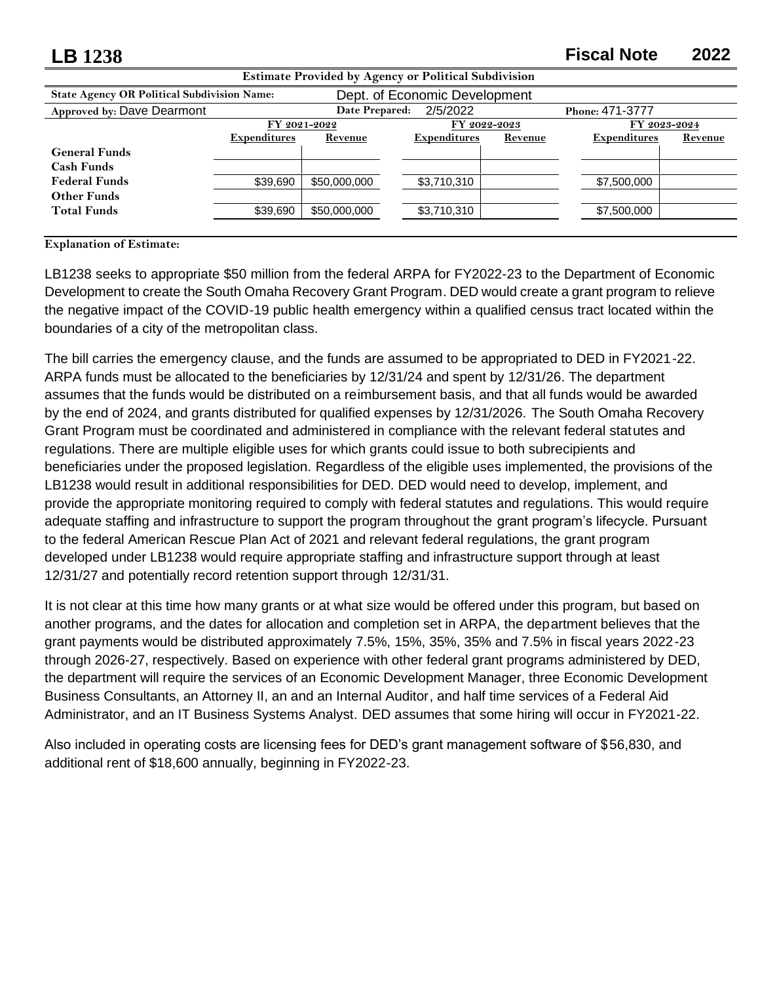| LB 1238                                                     |                     |                               |                     |         | <b>Fiscal Note</b>  | 2022    |  |
|-------------------------------------------------------------|---------------------|-------------------------------|---------------------|---------|---------------------|---------|--|
| <b>Estimate Provided by Agency or Political Subdivision</b> |                     |                               |                     |         |                     |         |  |
| <b>State Agency OR Political Subdivision Name:</b>          |                     | Dept. of Economic Development |                     |         |                     |         |  |
| Approved by: Dave Dearmont                                  |                     | 2/5/2022<br>Date Prepared:    |                     |         | Phone: 471-3777     |         |  |
|                                                             |                     | FY 2022-2023<br>FY 2021-2022  |                     |         | FY 2023-2024        |         |  |
|                                                             | <b>Expenditures</b> | Revenue                       | <b>Expenditures</b> | Revenue | <b>Expenditures</b> | Revenue |  |
| <b>General Funds</b>                                        |                     |                               |                     |         |                     |         |  |
| <b>Cash Funds</b>                                           |                     |                               |                     |         |                     |         |  |
| <b>Federal Funds</b>                                        | \$39,690            | \$50,000,000                  | \$3,710,310         |         | \$7,500,000         |         |  |
| <b>Other Funds</b>                                          |                     |                               |                     |         |                     |         |  |
| <b>Total Funds</b>                                          | \$39,690            | \$50,000,000                  | \$3,710,310         |         | \$7,500,000         |         |  |
|                                                             |                     |                               |                     |         |                     |         |  |

**Explanation of Estimate:**

LB1238 seeks to appropriate \$50 million from the federal ARPA for FY2022-23 to the Department of Economic Development to create the South Omaha Recovery Grant Program. DED would create a grant program to relieve the negative impact of the COVID-19 public health emergency within a qualified census tract located within the boundaries of a city of the metropolitan class.

The bill carries the emergency clause, and the funds are assumed to be appropriated to DED in FY2021-22. ARPA funds must be allocated to the beneficiaries by 12/31/24 and spent by 12/31/26. The department assumes that the funds would be distributed on a reimbursement basis, and that all funds would be awarded by the end of 2024, and grants distributed for qualified expenses by 12/31/2026. The South Omaha Recovery Grant Program must be coordinated and administered in compliance with the relevant federal statutes and regulations. There are multiple eligible uses for which grants could issue to both subrecipients and beneficiaries under the proposed legislation. Regardless of the eligible uses implemented, the provisions of the LB1238 would result in additional responsibilities for DED. DED would need to develop, implement, and provide the appropriate monitoring required to comply with federal statutes and regulations. This would require adequate staffing and infrastructure to support the program throughout the grant program's lifecycle. Pursuant to the federal American Rescue Plan Act of 2021 and relevant federal regulations, the grant program developed under LB1238 would require appropriate staffing and infrastructure support through at least 12/31/27 and potentially record retention support through 12/31/31.

It is not clear at this time how many grants or at what size would be offered under this program, but based on another programs, and the dates for allocation and completion set in ARPA, the department believes that the grant payments would be distributed approximately 7.5%, 15%, 35%, 35% and 7.5% in fiscal years 2022-23 through 2026-27, respectively. Based on experience with other federal grant programs administered by DED, the department will require the services of an Economic Development Manager, three Economic Development Business Consultants, an Attorney II, an and an Internal Auditor, and half time services of a Federal Aid Administrator, and an IT Business Systems Analyst. DED assumes that some hiring will occur in FY2021-22.

Also included in operating costs are licensing fees for DED's grant management software of \$56,830, and additional rent of \$18,600 annually, beginning in FY2022-23.